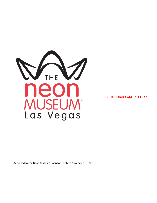

Approved by the Neon Museum Board of Trustees November 16, 2018

#### INSTITUTIONAL CODE OF ETHICS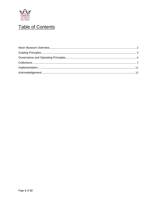

# Table of Contents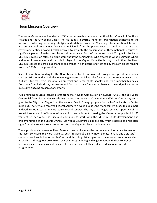

### <span id="page-2-0"></span>Neon Museum Overview

The Neon Museum was founded in 1996 as a partnership between the Allied Arts Council of Southern Nevada and the City of Las Vegas. The Museum is a 501(c)3 nonprofit organization dedicated to the mission of collecting, preserving, studying and exhibiting iconic Las Vegas signs for educational, historic, arts and cultural enrichment. Dedicated individuals from the private sector, as well as corporate and government entities, worked collaboratively to promote the preservation of these national treasures as significant pieces of artistic and historical importance. Each of the more than 600 signs in the Neon Museum's collection offers a unique story about the personalities who created it, what inspired it, where and when it was made, and the role it played in Las Vegas' distinctive history. In addition, the Neon Museum collection chronicles changes and trends in sign design and technology through pieces ranging from the 1930s to the present day.

Since its inception, funding for the Neon Museum has been provided through both private and public sources. Private funding includes revenue generated by ticket sales for tours of the Neon Boneyard and Brilliant!; for fees from personal, commercial and retail photo shoots; and from membership sales. Donations from individuals, businesses and from corporate foundations have also been significant to the museum's ongoing preservations efforts.

Public funding sources include grants from the Nevada Commission on Cultural Affairs, the Las Vegas Centennial Commission, the Nevada Legislature, the Las Vegas Convention and Visitors' Authority and a grant to the City of Las Vegas from the National Scenic Byways program for the La Concha Visitor Center build-out. The City also received Federal Southern Nevada Public Land Management funds to add a park and parking lot as part of the Museum's overall campus. The City of Las Vegas remains supportive of the Neon Museum and its efforts as evidenced in its commitment to leasing the Museum campus land for 50 years at \$1 per year. The City also continues to work with the Museum in its development and implementation of the Scenic Byways/Las Vegas Boulevard signs project, which restores and relocates signs from the Neon Museum collection onto Las Vegas Boulevard in downtown.

The approximately three-acre Neon Museum campus includes the outdoor exhibition space known as the Neon Boneyard, the North Gallery, South (Boulevard) Gallery, Neon Boneyard Park, and a visitors' center housed inside the former La Concha Motel lobby. Nine signs from the museum are also installed as public art throughout downtown Las Vegas. Programming and engagement initiatives consist of lectures, panel discussions, national artist residency, and a full calendar of educational and arts programming.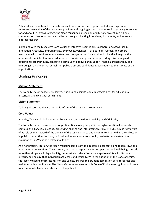

Public education outreach, research, archival preservation and a grant-funded neon sign survey represent a selection of the museum's previous and ongoing projects. Committed to growing its archive for and about Las Vegas signage, the Neon Museum launched an oral history project in 2014 and continues to strive for scholarly excellence through collecting interviews, documents, and internal and external research.

In keeping with the Museum's Core Values of Integrity, Team Work, Collaboration, Stewardship, Innovation, Creativity, and Originality, employees, volunteers, or Board of Trustees, and others associated with the Museum understand and recognize that individual and collective integrity, the absence of conflicts of interest, adherence to policies and procedures, providing mission-aligned educational programming, generating community goodwill and support, financial transparency and operating in a manner that establishes public trust and confidence is paramount to the success of the organization.

## <span id="page-3-0"></span>Guiding Principles

#### **Mission Statement**

The Neon Museum collects, preserves, studies and exhibits iconic Las Vegas signs for educational, historic, arts and cultural enrichment.

#### **Vision Statement**

To bring history and the arts to the forefront of the Las Vegas experience.

#### **Core Values**

Integrity, Teamwork, Collaboration, Stewardship, Innovation, Creativity, and Originality

The Neon Museum operates as a nonprofit entity serving the public through educational outreach, community alliances, collecting, preserving, sharing and interpreting history. The Museum is fully aware of its role as the steward of the signage of the Las Vegas area and is committed to holding the collection in public trust so that the local, national and international community can better understand the evolution of Las Vegas as it relates to its signs.

<span id="page-3-1"></span>As a nonprofit institution, the Neon Museum complies with applicable local, state, and federal laws and international conventions. The Museum, and those responsible for its operation and well-being, must do more than simply avoid legal liability, but must also take affirmative steps to maintain institutional integrity and ensure that individuals act legally and ethically. With the adoption of this Code of Ethics, the Neon Museum affirms its mission and values, ensures the prudent application of its resources and maintains public confidence. The Neon Museum has enacted this Code of Ethics in recognition of its role as a community leader and steward of the public trust.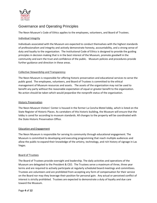

# Governance and Operating Principles

The Neon Museum's Code of Ethics applies to the employees, volunteers, and Board of Trustees.

#### Individual Integrity

Individuals associated with the Museum are expected to conduct themselves with the highest standards of professionalism and integrity and actively demonstrate honesty, accountability, and a strong sense of duty and loyalty to the organization. The Institutional Code of Ethics is designed to provide the guiding principles in decision making that is in the best interest of the Museum, promote goodwill in the community and earn the trust and confidence of the public. Museum policies and procedures provide further guidance and direction in these areas.

#### Collective Stewardship and Transparency

The Neon Museum is responsible for offering historic preservation and educational services to serve the public good. The employees, volunteers, and Board of Trustees is committed to the ethical management of Museum resources and assets. The assets of the organization may not be used to benefit any party without the reasonable expectation of equal or greater benefit to the organization. No action should be taken which would jeopardize the nonprofit status of the organization.

#### Historic Preservation

The Neon Museum Visitors' Center is housed in the former La Concha Motel lobby, which is listed on the State Register of Historic Places. As caretakers of this historic building, the Museum will ensure that the lobby is cared for according to museum standards. All changes to the property will be coordinated with the State Historic Preservation Office.

#### Education and Engagement

The Neon Museum is responsible for serving its community through educational engagement. The Museum is committed to developing and executing programming that reach multiple audiences and allow the public to expand their knowledge of the artistry, technology, and rich history of signage in Las Vegas.

#### Board of Trustees

The Board of Trustees provide oversight and leadership. The daily activities and operations of the Museum are delegated to the President & CEO. The Trustees serve a maximum of three, three year terms and are required to actively participate at regularly scheduled board meetings and committees. Trustees are volunteers and are prohibited from accepting any form of compensation for their service on the Board nor may they leverage their position for personal gain. Any actual or perceived conflict of interest is strictly prohibited. Trustees are expected to demonstrate a duty of loyalty and due care toward the Museum.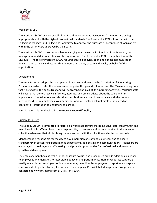

#### President & CEO

The President & CEO acts on behalf of the Board to ensure that Museum staff members are acting appropriately and with the highest professional standards. The President & CEO will consult with the Collections Manager and Collections Committee to approve the purchase or acceptance of loans or gifts within the parameters approved by the Board.

The President & CEO is also responsible for carrying out the strategic direction of the Museum, the management and daily operations of the organization. The President & CEO is the public face of the Museum. The role of President & CEO requires ethical behavior, open and honest communication, financial transparency and actions that demonstrate a duty of care and loyalty on behalf of the organization.

#### Development

The Neon Museum adopts the principles and practices endorsed by the Association of Fundraising Professionals which foster the enhancement of philanthropy and volunteerism. The Museum recognizes that it acts within the public trust and will be transparent in all of its fundraising activities. Museum staff will ensure that donors receive informed, accurate, and ethical advice about the value and tax implications of contributions and also that contributions are used in accordance with the donor's intentions. Museum employees, volunteers, or Board of Trustees will not disclose privileged or confidential information to unauthorized parties.

Specific standards are detailed in the **Neon Museum Gift Policy**.

#### Human Resources

The Neon Museum is committed to fostering a workplace culture that is inclusive, safe, creative, fun and team based. All staff members have a responsibility to preserve and protect the signs in the museum collection whenever their duties bring them in contact with the collection and collection records.

Management is responsible for the day to day supervision of staff and volunteers and to ensure transparency in establishing performance expectations, goal setting and communications. Managers are encouraged to hold regular staff meetings and provide opportunities for professional and personal growth and development.

The employee handbook as well as other Museum policies and procedures provide additional guidance to employees and managers for acceptable behavior and performance. Human resources support is readily available. An employee hotline number may be utilized by employees to report any workplace concern, including ethical or legal breaches. The company, Prism Global Management Group, can be contacted at www.prismgmg.com or 1-877-344-5004.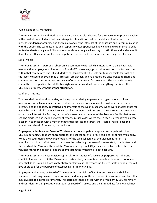

#### Public Relations & Marketing

The Neon Museum PR and Marketing team is a responsible advocate for the Museum to provide a voice in the marketplace of ideas, facts and viewpoints to aid informed public debate. It adheres to the highest standards of accuracy and truth in advancing the interests of the Museum and in communicating with the public. The team acquires and responsibly uses specialized knowledge and experience to build mutual understanding, credibility and relationships among a wide array of institutions and audiences. It deals fairly with clients, employers, competitors, peers, vendors, the media, and the general public.

#### Social Media

The Neon Museum is part of a robust online community with which it interacts on a daily basis. It is essential that employees, volunteers, or Board of Trustees engage in civil interaction that fosters trust within that community. The PR and Marketing Department is the sole entity responsible for posting as the Neon Museum on social media; Trustees, employees, and volunteers are encouraged to share and comment on posts in a way that positively reflects our museum's core values. The Neon Museum is committed to respecting the intellectual rights of others and will not post anything that is not the Museum's property without proper attribution.

#### Conflict of Interest

**Trustees** shall conduct all activities, including those relating to persons or organizations of close association, in such a manner that no conflict, or the appearance of conflict, will arise between those interests and the policies, operations, and interests of the Neon Museum. Whenever a matter arises for action by the Board of Trustees involving conflict between the interests of the Museum and an outside or personal interest of a Trustee, or that of an associate or member of the Trustee's family, that interest shall be disclosed and made a matter of record. In such cases where the Trustee is present when a vote is taken in connection with a matter of potential conflict of interest, the Trustee shall disclose the interest and abstain from voting on the issue.

**Employees, volunteers, or Board of Trustees** shall not compete nor appear to compete with the Museum for objects that are appropriate for the collection, of priority need, and/or of rare availability. While the acquisition and owning of objects of the type collected by the Museum is not in itself unethical, should a conflict develop between the collecting concerns of trustee, staff, or volunteer and the needs of the Museum, those of the Museum must prevail. Objects acquired by trustee, staff, or volunteer through bequest or gift are exempt from the Museum's right to acquire.

The Neon Museum may use outside appraisals for insurance of acquisition purposes. An inherent conflict of interest exists if the Museum or trustee, staff, or volunteer provide estimates to donors or potential donors of an artifact's potential monetary value. Therefore, no trustee, staff, or volunteer will give appraisals for the purpose of establishing fair-market value.

Employees, volunteers, or Board of Trustees with potential conflict of interest concerns shall file a statement disclosing business, organizational, and family conflicts, or other circumstances and facts that may give rise to a conflict of interest. This statement shall be filed with the President & CEO for review and consideration. Employees, volunteers, or Board of Trustees and their immediate families shall not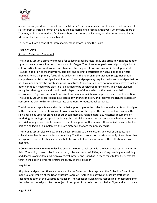

acquire any object deaccessioned from the Museum's permanent collection to ensure that no taint of self-interest or inside information clouds the deaccessioning process. Employees, volunteers, Board of Trustees, and their immediate family members shall not use collections, or other items owned by the Museum, for their own personal benefit.

Trustees will sign a conflict of interest agreement before joining the Board.

### <span id="page-7-0"></span>**Collections**

#### Scope of Collections Statement

The Neon Museum's primary emphasis for collecting shall be historically and artistically significant neon signs particularly from Southern Nevada and Las Vegas. The Museum regards neon signs as significant cultural artifacts and works of art, which reflect the unique cultural and economic development of Nevada in addition to the innovative, complex and aesthetic attributes of neon signs as an artistic medium. While the primary focus of the collection is the neon sign, the Museum recognizes that a comprehensive history of significant Southern Nevada signage may require the inclusion of signs that do not have neon or may be purely sculptural in nature. As such, a sign does not necessarily have to include neon nor does it need to be electric or electrified to be considered for inclusion. The Neon Museum recognizes that signs can and should be displayed out of doors, which is their natural artistic environment. Signs can and should receive treatments to maintain or improve their current condition. The Neon Museum accepts signs in all stages of working condition, and reserves the right to restore or conserve the signs to historically accurate conditions for educational purposes.

The Museum accepts items and artifacts that support signs in the collection as well as noteworthy signs in the community. These items might provide context for the sign or the time period, an example the sign's design as used for branding or other commercially related materials, historical documents or renderings including conceptual renderings, historical documentation of some kind whether written or pictorial, or any other objects deemed of merit in support of the mission. These objects may be kept as part of a collection to supplement the sign materials that are the primary focus.

The Neon Museum also collects fine art pieces relating to the collection, and well as an education collection for hands on activities and teaching. The fine art collection consists not only of art pieces that incorporate neon or lighting elements, but also consist of any fine art related the collection, in any medium.

A **Collections Management Policy** has been developed consistent with the best practices in the museum field. The policy covers collection approach, roles and responsibilities, acquiring, loaning, maintaining and deaccessioning items. All employees, volunteers, and Board of Trustees must follow the terms set forth in the policy in order to ensure the safety of the collection.

#### Acquisition

All potential sign acquisitions are reviewed by the Collections Manager and the Collection Committee made up of members of the Neon Museum Board of Trustees and key Neon Museum staff at the recommendation of the Collections Manager. The Collections Manager is responsible for accepting into the collection non-sign artifacts or objects in support of the collection or mission. Signs and artifacts are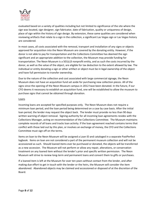

evaluated based on a variety of qualities including but not limited to significance of the site where the sign was located, sign designer, sign fabricator, date of fabrication, quality or uniqueness of design, place of sign within the history of sign design. By extension, these same qualities are considered when reviewing artifacts that relate to a sign in the collection, a significant Las Vegas sign or Las Vegas history are considered.

In most cases, all costs associated with the removal, transport and installation of any signs or objects approved for acquisition into the Neon Museum are covered by the donating entity. However, if the donor is not able to pay for transportation and the Collections Committee has deemed the sign significant and an appropriate addition to the collection, the Museum may provide funding for transportation. The Neon Museum is a 501(c)3 nonprofit entity, and as such the costs incurred by the donor, as well as the value of the object, are eligible for tax deduction to the extent allowed by law. The individual or entity donating a sign or other artifact or object must be in legal ownership of the object and have full permission to transfer ownership.

Due to the nature of the collection and cost associated with large commercial signage, the Neon Museum does not have an acquisition fund set aside for purchasing new collection pieces. All of the signs since the opening of the Neon Museum campus in 2012 have been donated. In the future, if our CFO deems it necessary to establish an acquisition fund, one will be established to allow the museum to purchase signs that cannot be obtained through donation.

#### Loans

Incoming loans are accepted for specified purposes only. The Neon Museum does not require a minimum loan period, and the loan period being determined on a case by case basis. After the initial loan period, the lender may request the object back. The lender must provide no less than 90 days written warning of object removal. Signing authority for all incoming loan agreements resides with the Collections Manager, acting on recommendation of the Collections Committee. The Museum maintains complete records of all loans and tracks loan activity. If the loan agreement reached contains terms that conflict with those laid out by this plan, or involves an exchange of money, the CFO and the Collections Committee must sign off on the terms.

Items on loan to the Neon Museum will be assigned a Loan ID and cataloged in a separate PastPerfect logbook. Items on loan are not considered a part of the permanent museum collection and will not be accessioned as such. Should loaned items ever be purchased or donated, the objects will be transferred as a new accession. The Museum will not perform or allow any repair, alterations, or conservation treatment on any loaned item without the lender's prior and specific written permission. The Neon Museum will strive to review long-term and permanent loans and convert them to gifts or purchases.

If a loaned item is left at the Museum for over ten years without contact from the lender, and after making due effort to get in touch with the lender or the heirs, the Museum will consider the item abandoned. Abandoned objects may be claimed and accessioned or disposed of at the discretion of the Board.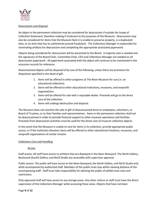

#### Deaccession and Disposal

An object in the permanent collection may be considered for deaccession if outside the Scope of Collection Statement, therefore making it irrelevant to the purposes of the Museum. Deaccession may also be considered for items that the Museum feels it is unable to preserve properly, is a duplicated item, or an item that has its authenticity proved fraudulent. The Collections Manager is responsible for nominating artifacts for deaccession and completing the appropriate associated paperwork.

Objects being considered for deaccession will be presented to the Board. A majority vote is needed and the signatures of the Board Chair, Committee Chair, CEO and Collections Manager are needed on all deaccession paperwork. All paperwork associated with the object will continue to be maintained in the accession records for reference.

Deaccessioned objects will be disposed of by one of the following, unless there are provisions for disposition specified in the deed of gift.

- 1. Items will be offered to other programs at The Neon Museum for use (i.e. an educational collection).
- 2. Items will be offered to other educational institutions, museums, and nonprofit organizations.
- 3. Items will be offered for sale with a reputable dealer. Proceeds will go to the direct care of the collection.
- 4. Items will undergo destruction and disposal.

The Museum does not sanction the sale or gift of deaccessioned items to employees, volunteers, or Board of Trustees, or to their families and representatives. Items in the permanent collection shall not be deaccessioned in order to provide financial support to other museum operations and facilities. Proceeds from deaccession activities must be used for the direct care of museum collection objects.

In the event that the Museum is unable to care for items in its collection, provide appropriate public access, or if the institution dissolves items will be offered to other educational intuitions, museums, and nonprofit organizations of similar mission.

#### Collections Care and Handling

#### Access

Staff access: All staff have access to artifacts that are displayed in the Neon Boneyard. The North Gallery, Boulevard (South) Gallery, and Ne10 Studio are accessible with supervisor approval.

Public access: The public will have access to the Neon Boneyard, the North Gallery, and Ne10 Studio only while accompanied by authorized staff. Members of the public must stay within viewing distance of the accompanying staff. Staff must take responsibility for advising the public of exhibit area rules and restrictions.

Only approved staff will have access to any storage areas. Any other visitors or staff must have the direct supervision of the Collections Manager while accessing these areas. Objects that have not been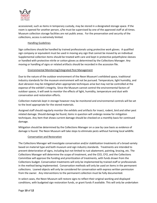

accessioned, such as items in temporary custody, may be stored in a designated storage space. If the room is opened for another person, s/he must be supervised by one of the approved staff at all times. Museum collection storage facilities are not public areas. For the preservation and security of the collections, access is extremely limited.

#### Handling Guidelines

Sign collections should be handled by trained professionals using protective work gloves. A qualified sign company or equivalent must be used in moving any sign that cannot be moved by an individual. Supplemental collection items should be treated with care and kept in protective polyethylene sleeves or handled with protective nitrile or cotton gloves as determined by the Collections Manager. Any moving or handling of signs or related artifacts should be recorded in the accession file.

#### Environmental Monitoring/Integrated Pest Management

Due to the nature of the outdoor environment of the Neon Museum's exhibited space, traditional industry standards for the museum environment will not be pursued. Temperature, light humidity, and dust abrasion may be mitigated when appropriate techniques arise but may not be controlled at the expense of the exhibit's integrity. Since the Museum cannot control the environmental factors of outdoor spaces, it will seek to monitor the effects of light, humidity, temperature and dust with conservation and restoration efforts.

Collection materials kept in storage however may be monitored and environmental controls will be set to the level appropriate for the stored materials.

Assigned staff should regularly monitor the exhibits and artifacts for insect, rodent, bird and other pest related damage. Should damage be found, items in question will undergo review for mitigation techniques. Any item that shows current damage should be checked on a monthly basis for continued damage.

Mitigation should be determined by the Collections Manager on a case by case basis as evidence of damage is found. The Neon Museum will take steps to eliminate pests without harming local wildlife.

#### Conservation and Restoration

The Collections Manager will investigate conservation and/or stabilization treatments of a broad variety based on material type and both museum and sign industry standards. Treatments are intended to prevent deterioration of signs, including but not limited to rust abatement, painting, bracing, etc. The Collections Manager will determine the scope of treatment, and the CEO, CFO, and the Collections Committee will approve the funding and prioritization of treatments, with funds drawn from the Collections budget. Conservation treatments will only be implemented by trained staff or professionals in the method being implemented. Conservation methods will only be used on items in the permanent collections. Loaned objects will only be considered for conservation with express written permission from the owner. Any interventions to the permanent collection must be fully documented.

In select cases, the Neon Museum will restore signs to reflect their original working and displayed conditions, with budgeted sign restoration funds, or grant funds if available. This will only be undertaken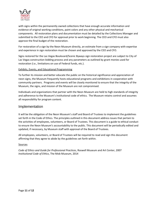

with signs within the permanently owned collections that have enough accurate information and evidence of original working conditions, paint colors and any other physical and mechanical components. All restoration plans and documentation must be detailed by the Collections Manager and submitted to the CEO and CFO for approval prior to work beginning. The CEO and CFO must also approve the final budget of the restoration.

For restoration of a sign by the Neon Museum directly, an estimate from a sign company with expertise and experience in sign restoration must be chosen and approved by the CEO and CFO.

Signs restored for the Las Vegas Boulevard/Scenic Byways sign restoration project are subject to City of Las Vegas construction bidding process and any parameters as outlined by grant monies used for restoration (i.e., limitations on use of Federal funds, etc.).

#### Exhibits, Events, and Educational Programming

To further its mission and better educate the public on the historical significance and appreciation of neon signs, the Museum frequently hosts educational programs and exhibitions in cooperation with community partners. Programs and events will be closely monitored to ensure that the integrity of the Museum, the signs, and mission of the Museum are not compromised.

Individuals and organizations that partner with the Neon Museum are held to high standards of integrity and adherence to the Museum's institutional code of ethics. The Museum retains control and assumes all responsibility for program content.

### <span id="page-11-0"></span>Implementation

It will be the obligation of the Neon Museum's staff and Board of Trustees to implement the guidelines set forth in the Code of Ethics. The principles outlined in this document address issues that pertain to the activities of employees, volunteers, or Board of Trustees. This document is a guide to ethical conduct to ensure the Neon Museum's accountability to the public. This document will be periodically edited and updated, if necessary, by Museum staff with approval of the Board of Trustees.

All employees, volunteers, or Board of Trustees will be required to read and sign this document affirming that they agree to abide by the guidelines set forth within.

#### Sources

<span id="page-11-1"></span>*Code of Ethics and Guide for Professional Practices*, Roswell Museum and Art Center, 2007 *Institutional Code of Ethics*, The Mob Museum, 2014